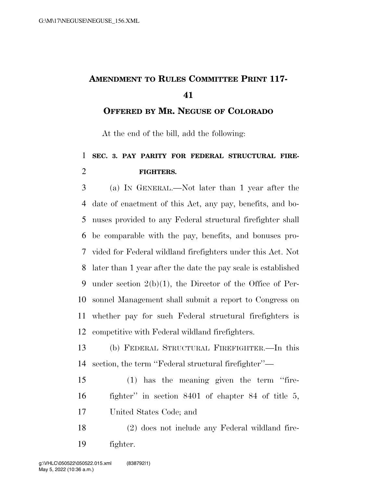## **AMENDMENT TO RULES COMMITTEE PRINT 117-**

**OFFERED BY MR. NEGUSE OF COLORADO**

At the end of the bill, add the following:

## **SEC. 3. PAY PARITY FOR FEDERAL STRUCTURAL FIRE-FIGHTERS.**

 (a) IN GENERAL.—Not later than 1 year after the date of enactment of this Act, any pay, benefits, and bo- nuses provided to any Federal structural firefighter shall be comparable with the pay, benefits, and bonuses pro- vided for Federal wildland firefighters under this Act. Not later than 1 year after the date the pay scale is established under section 2(b)(1), the Director of the Office of Per- sonnel Management shall submit a report to Congress on whether pay for such Federal structural firefighters is competitive with Federal wildland firefighters.

 (b) FEDERAL STRUCTURAL FIREFIGHTER.—In this section, the term ''Federal structural firefighter''—

 (1) has the meaning given the term ''fire- fighter'' in section 8401 of chapter 84 of title 5, United States Code; and

 (2) does not include any Federal wildland fire-fighter.